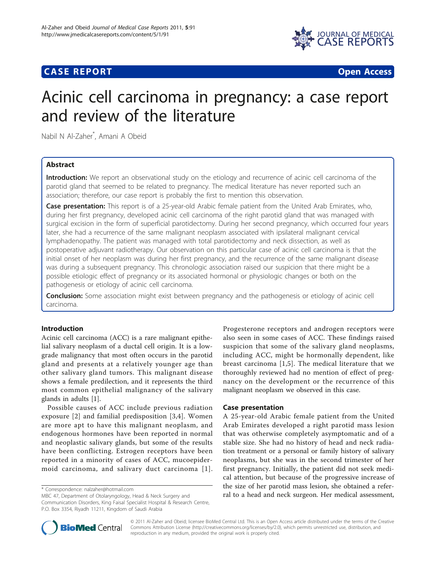# **CASE REPORT CASE REPORT CASE REPORT**



# Acinic cell carcinoma in pregnancy: a case report and review of the literature

Nabil N Al-Zaher\* , Amani A Obeid

## Abstract

Introduction: We report an observational study on the etiology and recurrence of acinic cell carcinoma of the parotid gland that seemed to be related to pregnancy. The medical literature has never reported such an association; therefore, our case report is probably the first to mention this observation.

Case presentation: This report is of a 25-year-old Arabic female patient from the United Arab Emirates, who, during her first pregnancy, developed acinic cell carcinoma of the right parotid gland that was managed with surgical excision in the form of superficial parotidectomy. During her second pregnancy, which occurred four years later, she had a recurrence of the same malignant neoplasm associated with ipsilateral malignant cervical lymphadenopathy. The patient was managed with total parotidectomy and neck dissection, as well as postoperative adjuvant radiotherapy. Our observation on this particular case of acinic cell carcinoma is that the initial onset of her neoplasm was during her first pregnancy, and the recurrence of the same malignant disease was during a subsequent pregnancy. This chronologic association raised our suspicion that there might be a possible etiologic effect of pregnancy or its associated hormonal or physiologic changes or both on the pathogenesis or etiology of acinic cell carcinoma.

Conclusion: Some association might exist between pregnancy and the pathogenesis or etiology of acinic cell carcinoma.

# Introduction

Acinic cell carcinoma (ACC) is a rare malignant epithelial salivary neoplasm of a ductal cell origin. It is a lowgrade malignancy that most often occurs in the parotid gland and presents at a relatively younger age than other salivary gland tumors. This malignant disease shows a female predilection, and it represents the third most common epithelial malignancy of the salivary glands in adults [[1\]](#page-2-0).

Possible causes of ACC include previous radiation exposure [[2\]](#page-2-0) and familial predisposition [[3](#page-2-0),[4\]](#page-3-0). Women are more apt to have this malignant neoplasm, and endogenous hormones have been reported in normal and neoplastic salivary glands, but some of the results have been conflicting. Estrogen receptors have been reported in a minority of cases of ACC, mucoepidermoid carcinoma, and salivary duct carcinoma [[1\]](#page-2-0).

MBC 47, Department of Otolaryngology, Head & Neck Surgery and Communication Disorders, King Faisal Specialist Hospital & Research Centre, P.O. Box 3354, Riyadh 11211, Kingdom of Saudi Arabia

Progesterone receptors and androgen receptors were also seen in some cases of ACC. These findings raised suspicion that some of the salivary gland neoplasms, including ACC, might be hormonally dependent, like breast carcinoma [[1](#page-2-0),[5\]](#page-3-0). The medical literature that we thoroughly reviewed had no mention of effect of pregnancy on the development or the recurrence of this malignant neoplasm we observed in this case.

### Case presentation

A 25-year-old Arabic female patient from the United Arab Emirates developed a right parotid mass lesion that was otherwise completely asymptomatic and of a stable size. She had no history of head and neck radiation treatment or a personal or family history of salivary neoplasms, but she was in the second trimester of her first pregnancy. Initially, the patient did not seek medical attention, but because of the progressive increase of the size of her parotid mass lesion, she obtained a refer\* Correspondence: [nalzaher@hotmail.com](mailto:nalzaher@hotmail.com) bead and neck surgeon. Her medical assessment,<br>MBC 47, Department of Otolaryngology, Head & Neck Surgery and **head and neck surgeon. Her medical assessment,** 



© 2011 Al-Zaher and Obeid; licensee BioMed Central Ltd. This is an Open Access article distributed under the terms of the Creative Commons Attribution License [\(http://creativecommons.org/licenses/by/2.0](http://creativecommons.org/licenses/by/2.0)), which permits unrestricted use, distribution, and reproduction in any medium, provided the original work is properly cited.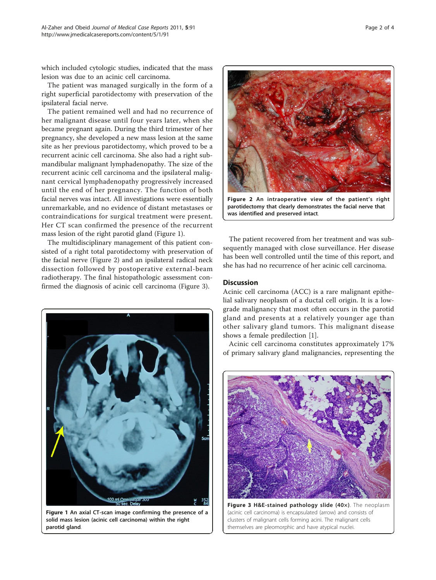which included cytologic studies, indicated that the mass lesion was due to an acinic cell carcinoma.

The patient was managed surgically in the form of a right superficial parotidectomy with preservation of the ipsilateral facial nerve.

The patient remained well and had no recurrence of her malignant disease until four years later, when she became pregnant again. During the third trimester of her pregnancy, she developed a new mass lesion at the same site as her previous parotidectomy, which proved to be a recurrent acinic cell carcinoma. She also had a right submandibular malignant lymphadenopathy. The size of the recurrent acinic cell carcinoma and the ipsilateral malignant cervical lymphadenopathy progressively increased until the end of her pregnancy. The function of both facial nerves was intact. All investigations were essentially unremarkable, and no evidence of distant metastases or contraindications for surgical treatment were present. Her CT scan confirmed the presence of the recurrent mass lesion of the right parotid gland (Figure 1).

The multidisciplinary management of this patient consisted of a right total parotidectomy with preservation of the facial nerve (Figure 2) and an ipsilateral radical neck dissection followed by postoperative external-beam radiotherapy. The final histopathologic assessment confirmed the diagnosis of acinic cell carcinoma (Figure 3).



Figure 1 An axial CT-scan image confirming the presence of a solid mass lesion (acinic cell carcinoma) within the right parotid gland.



Figure 2 An intraoperative view of the patient's right parotidectomy that clearly demonstrates the facial nerve that was identified and preserved intact.

The patient recovered from her treatment and was subsequently managed with close surveillance. Her disease has been well controlled until the time of this report, and she has had no recurrence of her acinic cell carcinoma.

# **Discussion**

Acinic cell carcinoma (ACC) is a rare malignant epithelial salivary neoplasm of a ductal cell origin. It is a lowgrade malignancy that most often occurs in the parotid gland and presents at a relatively younger age than other salivary gland tumors. This malignant disease shows a female predilection [\[1\]](#page-2-0).

Acinic cell carcinoma constitutes approximately 17% of primary salivary gland malignancies, representing the



Figure 3 H&E-stained pathology slide (40x). The neoplasm (acinic cell carcinoma) is encapsulated (arrow) and consists of clusters of malignant cells forming acini. The malignant cells themselves are pleomorphic and have atypical nuclei.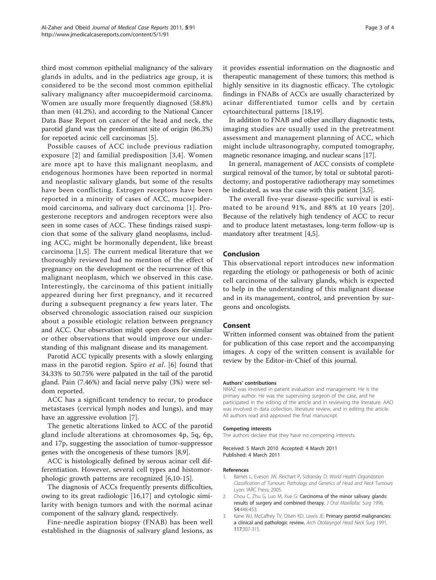<span id="page-2-0"></span>third most common epithelial malignancy of the salivary glands in adults, and in the pediatrics age group, it is considered to be the second most common epithelial salivary malignancy after mucoepidermoid carcinoma. Women are usually more frequently diagnosed (58.8%) than men (41.2%), and according to the National Cancer Data Base Report on cancer of the head and neck, the parotid gland was the predominant site of origin (86.3%) for reported acinic cell carcinomas [[5\]](#page-3-0).

Possible causes of ACC include previous radiation exposure [2] and familial predisposition [3,[4\]](#page-3-0). Women are more apt to have this malignant neoplasm, and endogenous hormones have been reported in normal and neoplastic salivary glands, but some of the results have been conflicting. Estrogen receptors have been reported in a minority of cases of ACC, mucoepidermoid carcinoma, and salivary duct carcinoma [1]. Progesterone receptors and androgen receptors were also seen in some cases of ACC. These findings raised suspicion that some of the salivary gland neoplasms, including ACC, might be hormonally dependent, like breast carcinoma [1,[5\]](#page-3-0). The current medical literature that we thoroughly reviewed had no mention of the effect of pregnancy on the development or the recurrence of this malignant neoplasm, which we observed in this case. Interestingly, the carcinoma of this patient initially appeared during her first pregnancy, and it recurred during a subsequent pregnancy a few years later. The observed chronologic association raised our suspicion about a possible etiologic relation between pregnancy and ACC. Our observation might open doors for similar or other observations that would improve our understanding of this malignant disease and its management.

Parotid ACC typically presents with a slowly enlarging mass in the parotid region. Spiro et al. [[6](#page-3-0)] found that 34.33% to 50.75% were palpated in the tail of the parotid gland. Pain (7.46%) and facial nerve palsy (3%) were seldom reported.

ACC has a significant tendency to recur, to produce metastases (cervical lymph nodes and lungs), and may have an aggressive evolution [[7\]](#page-3-0).

The genetic alterations linked to ACC of the parotid gland include alterations at chromosomes 4p, 5q, 6p, and 17p, suggesting the association of tumor-suppressor genes with the oncogenesis of these tumors [[8](#page-3-0),[9](#page-3-0)].

ACC is histologically defined by serous acinar cell differentiation. However, several cell types and histomorphologic growth patterns are recognized [[6,10-15](#page-3-0)].

The diagnosis of ACCs frequently presents difficulties, owing to its great radiologic [[16,17\]](#page-3-0) and cytologic similarity with benign tumors and with the normal acinar component of the salivary gland, respectively.

Fine-needle aspiration biopsy (FNAB) has been well established in the diagnosis of salivary gland lesions, as it provides essential information on the diagnostic and therapeutic management of these tumors; this method is highly sensitive in its diagnostic efficacy. The cytologic findings in FNABs of ACCs are usually characterized by acinar differentiated tumor cells and by certain cytoarchitectural patterns [[18,19](#page-3-0)].

In addition to FNAB and other ancillary diagnostic tests, imaging studies are usually used in the pretreatment assessment and management planning of ACC, which might include ultrasonography, computed tomography, magnetic resonance imaging, and nuclear scans [\[17\]](#page-3-0).

In general, management of ACC consists of complete surgical removal of the tumor, by total or subtotal parotidectomy, and postoperative radiotherapy may sometimes be indicated, as was the case with this patient [3,[5\]](#page-3-0).

The overall five-year disease-specific survival is estimated to be around 91%, and 88% at 10 years [[20\]](#page-3-0). Because of the relatively high tendency of ACC to recur and to produce latent metastases, long-term follow-up is mandatory after treatment [[4](#page-3-0),[5](#page-3-0)].

## Conclusion

This observational report introduces new information regarding the etiology or pathogenesis or both of acinic cell carcinoma of the salivary glands, which is expected to help in the understanding of this malignant disease and in its management, control, and prevention by surgeons and oncologists.

### Consent

Written informed consent was obtained from the patient for publication of this case report and the accompanying images. A copy of the written consent is available for review by the Editor-in-Chief of this journal.

#### Authors' contributions

NNAZ was involved in patient evaluation and management. He is the primary author. He was the supervising surgeon of the case, and he participated in the editing of the article and in reviewing the literature. AAO was involved in data collection, literature review, and in editing the article. All authors read and approved the final manuscript.

#### Competing interests

The authors declare that they have no competing interests.

Received: 5 March 2010 Accepted: 4 March 2011 Published: 4 March 2011

#### References

- 1. Barnes L, Eveson JW, Reichart P, Sidransky D: World Health Organization Classification of Tumours: Pathology and Genetics of Head and Neck Tumours Lyon: IARC Press; 2005.
- 2. Chou C, Zhu G, Luo M, Xue G: [Carcinoma of the minor salivary glands:](http://www.ncbi.nlm.nih.gov/pubmed/8600261?dopt=Abstract) [results of surgery and combined therapy.](http://www.ncbi.nlm.nih.gov/pubmed/8600261?dopt=Abstract) J Oral Maxillofac Surg 1996, 54:448-453.
- 3. Kane WJ, McCaffrey TV, Olsen KD, Lewis JE: [Primary parotid malignancies:](http://www.ncbi.nlm.nih.gov/pubmed/1998571?dopt=Abstract) [a clinical and pathologic review.](http://www.ncbi.nlm.nih.gov/pubmed/1998571?dopt=Abstract) Arch Otolaryngol Head Neck Surg 1991, 117:307-315.